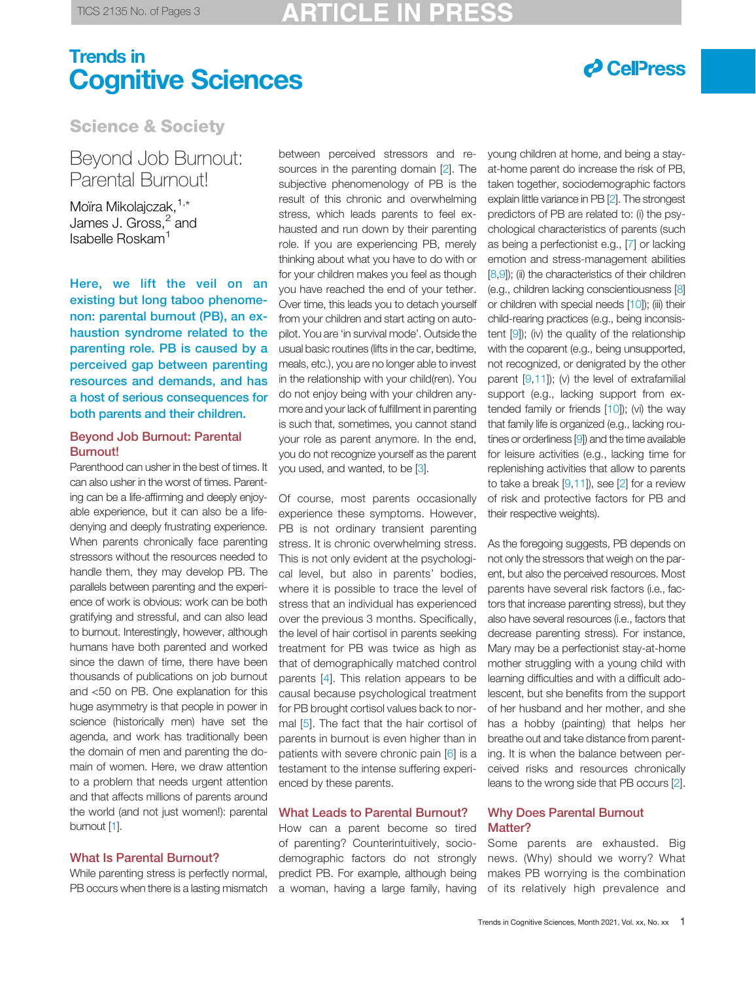# Trends in Cognitive Sciences



Science & Society

## Beyond Job Burnout: Parental Burnout!

Moïra Mikolajczak.<sup>[1,\\*](#page-2-0)</sup> James J. Gross, $^2$  $^2$  and Isabelle Roskam[1](#page-2-0)

Here, we lift the veil on an existing but long taboo phenomenon: parental burnout (PB), an exhaustion syndrome related to the parenting role. PB is caused by a perceived gap between parenting resources and demands, and has a host of serious consequences for both parents and their children.

### Beyond Job Burnout: Parental Burnout!

Parenthood can usher in the best of times. It can also usher in the worst of times. Parenting can be a life-affirming and deeply enjoyable experience, but it can also be a lifedenying and deeply frustrating experience. When parents chronically face parenting stressors without the resources needed to handle them, they may develop PB. The parallels between parenting and the experience of work is obvious: work can be both gratifying and stressful, and can also lead to burnout. Interestingly, however, although humans have both parented and worked since the dawn of time, there have been thousands of publications on job burnout and <50 on PB. One explanation for this huge asymmetry is that people in power in science (historically men) have set the agenda, and work has traditionally been the domain of men and parenting the domain of women. Here, we draw attention to a problem that needs urgent attention and that affects millions of parents around the world (and not just women!): parental burnout [[1](#page-2-0)].

## What Is Parental Burnout?

While parenting stress is perfectly normal, PB occurs when there is a lasting mismatch

between perceived stressors and resources in the parenting domain [\[2](#page-2-0)]. The subjective phenomenology of PB is the result of this chronic and overwhelming stress, which leads parents to feel exhausted and run down by their parenting role. If you are experiencing PB, merely thinking about what you have to do with or for your children makes you feel as though you have reached the end of your tether. Over time, this leads you to detach yourself from your children and start acting on autopilot. You are 'in survival mode'. Outside the usual basic routines (lifts in the car, bedtime, meals, etc.), you are no longer able to invest in the relationship with your child(ren). You do not enjoy being with your children anymore and your lack of fulfillment in parenting is such that, sometimes, you cannot stand your role as parent anymore. In the end, you do not recognize yourself as the parent you used, and wanted, to be [\[3](#page-2-0)].

Of course, most parents occasionally experience these symptoms. However, PB is not ordinary transient parenting stress. It is chronic overwhelming stress. This is not only evident at the psychological level, but also in parents' bodies, where it is possible to trace the level of stress that an individual has experienced over the previous 3 months. Specifically, the level of hair cortisol in parents seeking treatment for PB was twice as high as that of demographically matched control parents [\[4](#page-2-0)]. This relation appears to be causal because psychological treatment for PB brought cortisol values back to normal [[5](#page-2-0)]. The fact that the hair cortisol of parents in burnout is even higher than in patients with severe chronic pain [[6](#page-2-0)] is a testament to the intense suffering experienced by these parents.

## What Leads to Parental Burnout?

How can a parent become so tired of parenting? Counterintuitively, sociodemographic factors do not strongly predict PB. For example, although being a woman, having a large family, having

young children at home, and being a stayat-home parent do increase the risk of PB, taken together, sociodemographic factors explain little variance in PB [\[2](#page-2-0)]. The strongest predictors of PB are related to: (i) the psychological characteristics of parents (such as being a perfectionist e.g., [[7\]](#page-2-0) or lacking emotion and stress-management abilities [\[8,9](#page-2-0)]); (ii) the characteristics of their children (e.g., children lacking conscientiousness [\[8\]](#page-2-0) or children with special needs [\[10\]](#page-2-0)); (iii) their child-rearing practices (e.g., being inconsistent [\[9\]](#page-2-0)); (iv) the quality of the relationship with the coparent (e.g., being unsupported, not recognized, or denigrated by the other parent [\[9,11](#page-2-0)]); (v) the level of extrafamilial support (e.g., lacking support from extended family or friends [\[10](#page-2-0)]); (vi) the way that family life is organized (e.g., lacking routines or orderliness [\[9\]](#page-2-0)) and the time available for leisure activities (e.g., lacking time for replenishing activities that allow to parents to take a break  $[9,11]$  $[9,11]$  $[9,11]$  $[9,11]$ , see  $[2]$  $[2]$  for a review of risk and protective factors for PB and their respective weights).

As the foregoing suggests, PB depends on not only the stressors that weigh on the parent, but also the perceived resources. Most parents have several risk factors (i.e., factors that increase parenting stress), but they also have several resources (i.e., factors that decrease parenting stress). For instance, Mary may be a perfectionist stay-at-home mother struggling with a young child with learning difficulties and with a difficult adolescent, but she benefits from the support of her husband and her mother, and she has a hobby (painting) that helps her breathe out and take distance from parenting. It is when the balance between perceived risks and resources chronically leans to the wrong side that PB occurs [[2\]](#page-2-0).

### Why Does Parental Burnout Matter?

Some parents are exhausted. Big news. (Why) should we worry? What makes PB worrying is the combination of its relatively high prevalence and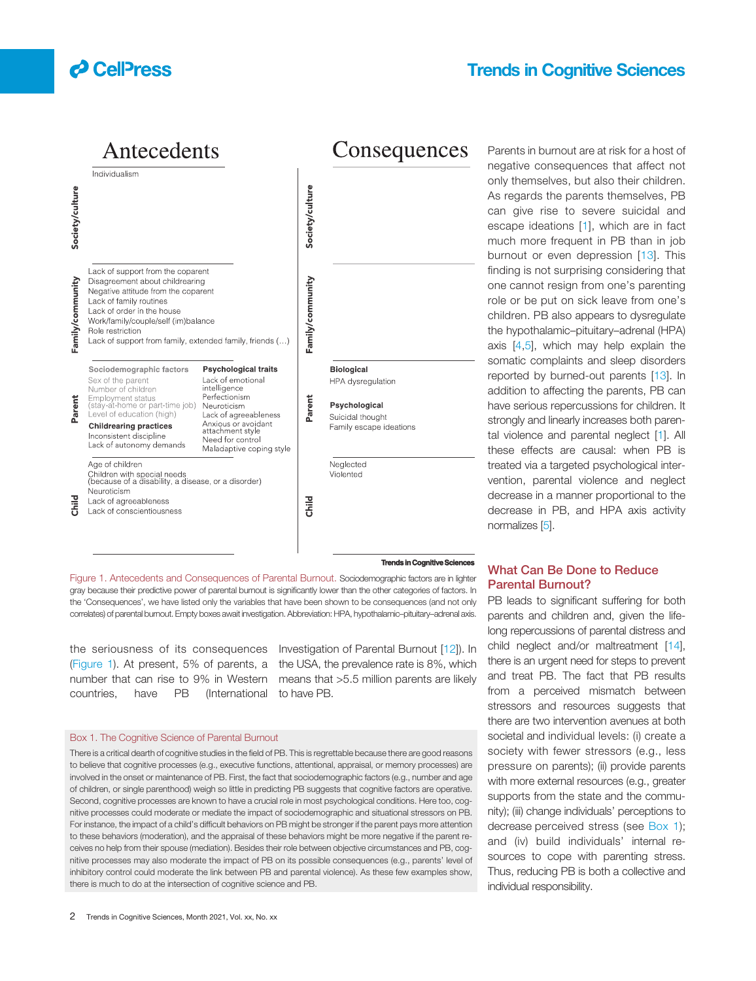

## Trends in Cognitive Sciences

Antecedents Consequences Individualism Society/culture Society/culture Lack of support from the coparent Disagreement about childrearing Family/community Family/community Negative attitude from the coparent Lack of family routines Lack of order in the house Work/family/couple/self (im)balance Role restriction Lack of support from family, extended family, friends (...) Sociodemographic factors Psychological traits **Biological** Lack of emotional Sex of the parent HPA dysregulation Number of children intelligence Employment status<br>(stay-at-home or part-time job) Perfectionism ent Parent Psychological Neuroticism កិ Level of education (high) Lack of agreeableness Suicidal thought Anxious or avoidant<br>attachment style **Childrearing practices** Family escape ideations Inconsistent discipline Need for control Lack of autonomy demands Maladaptive coping style Age of children Neglected Children with special needs<br>(because of a disability, a disease, or a disorder) Violented Neuroticism Child 焉 Lack of agreeableness Lack of conscientiousness

Parents in burnout are at risk for a host of negative consequences that affect not only themselves, but also their children. As regards the parents themselves, PB can give rise to severe suicidal and escape ideations [[1\]](#page-2-0), which are in fact much more frequent in PB than in job burnout or even depression [\[13\]](#page-2-0). This finding is not surprising considering that one cannot resign from one's parenting role or be put on sick leave from one's children. PB also appears to dysregulate the hypothalamic–pituitary–adrenal (HPA) axis [\[4](#page-2-0),[5\]](#page-2-0), which may help explain the somatic complaints and sleep disorders reported by burned-out parents [[13\]](#page-2-0). In addition to affecting the parents, PB can have serious repercussions for children. It strongly and linearly increases both parental violence and parental neglect [[1\]](#page-2-0). All these effects are causal: when PB is treated via a targeted psychological intervention, parental violence and neglect decrease in a manner proportional to the decrease in PB, and HPA axis activity normalizes [[5](#page-2-0)].

#### **Trends in Cognitive Cognitive Sciences**

Figure 1. Antecedents and Consequences of Parental Burnout. Sociodemographic factors are in lighter gray because their predictive power of parental burnout is significantly lower than the other categories of factors. In the 'Consequences', we have listed only the variables that have been shown to be consequences (and not only correlates) of parental burnout. Empty boxes await investigation. Abbreviation: HPA, hypothalamic–pituitary–adrenal axis.

number that can rise to 9% in Western countries, have PB (International

the seriousness of its consequences Investigation of Parental Burnout [[12\]](#page-2-0)). In (Figure 1). At present, 5% of parents, a the USA, the prevalence rate is 8%, which means that >5.5 million parents are likely to have PB.

### Box 1. The Cognitive Science of Parental Burnout

There is a critical dearth of cognitive studies in the field of PB. This is regrettable because there are good reasons to believe that cognitive processes (e.g., executive functions, attentional, appraisal, or memory processes) are involved in the onset or maintenance of PB. First, the fact that sociodemographic factors (e.g., number and age of children, or single parenthood) weigh so little in predicting PB suggests that cognitive factors are operative. Second, cognitive processes are known to have a crucial role in most psychological conditions. Here too, cognitive processes could moderate or mediate the impact of sociodemographic and situational stressors on PB. For instance, the impact of a child's difficult behaviors on PB might be stronger if the parent pays more attention to these behaviors (moderation), and the appraisal of these behaviors might be more negative if the parent receives no help from their spouse (mediation). Besides their role between objective circumstances and PB, cognitive processes may also moderate the impact of PB on its possible consequences (e.g., parents' level of inhibitory control could moderate the link between PB and parental violence). As these few examples show, there is much to do at the intersection of cognitive science and PB.

## What Can Be Done to Reduce Parental Burnout?

PB leads to significant suffering for both parents and children and, given the lifelong repercussions of parental distress and child neglect and/or maltreatment [[14\]](#page-2-0), there is an urgent need for steps to prevent and treat PB. The fact that PB results from a perceived mismatch between stressors and resources suggests that there are two intervention avenues at both societal and individual levels: (i) create a society with fewer stressors (e.g., less pressure on parents); (ii) provide parents with more external resources (e.g., greater supports from the state and the community); (iii) change individuals' perceptions to decrease perceived stress (see Box 1); and (iv) build individuals' internal resources to cope with parenting stress. Thus, reducing PB is both a collective and individual responsibility.